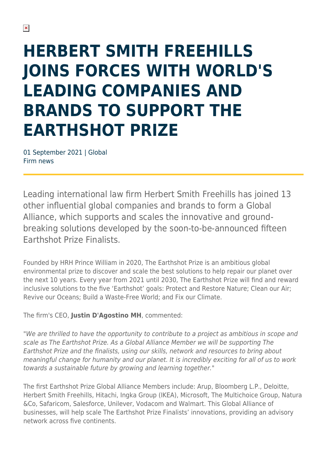## **HERBERT SMITH FREEHILLS JOINS FORCES WITH WORLD'S LEADING COMPANIES AND BRANDS TO SUPPORT THE EARTHSHOT PRIZE**

01 September 2021 | Global Firm news

Leading international law firm Herbert Smith Freehills has joined 13 other influential global companies and brands to form a Global Alliance, which supports and scales the innovative and groundbreaking solutions developed by the soon-to-be-announced fifteen Earthshot Prize Finalists.

Founded by HRH Prince William in 2020, The Earthshot Prize is an ambitious global environmental prize to discover and scale the best solutions to help repair our planet over the next 10 years. Every year from 2021 until 2030, The Earthshot Prize will find and reward inclusive solutions to the five 'Earthshot' goals: Protect and Restore Nature; Clean our Air; Revive our Oceans; Build a Waste-Free World; and Fix our Climate.

The firm's CEO, **Justin D'Agostino MH**, commented:

"We are thrilled to have the opportunity to contribute to a project as ambitious in scope and scale as The Earthshot Prize. As a Global Alliance Member we will be supporting The Earthshot Prize and the finalists, using our skills, network and resources to bring about meaningful change for humanity and our planet. It is incredibly exciting for all of us to work towards a sustainable future by growing and learning together."

The first Earthshot Prize Global Alliance Members include: Arup, Bloomberg L.P., Deloitte, Herbert Smith Freehills, Hitachi, Ingka Group (IKEA), Microsoft, The Multichoice Group, Natura &Co, Safaricom, Salesforce, Unilever, Vodacom and Walmart. This Global Alliance of businesses, will help scale The Earthshot Prize Finalists' innovations, providing an advisory network across five continents.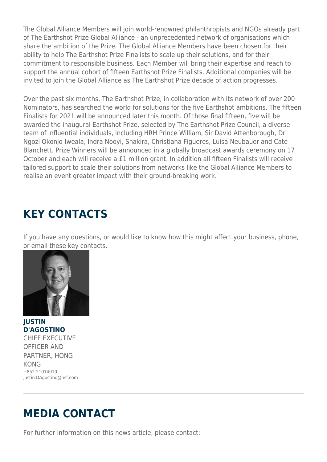The Global Alliance Members will join world-renowned philanthropists and NGOs already part of The Earthshot Prize Global Alliance - an unprecedented network of organisations which share the ambition of the Prize. The Global Alliance Members have been chosen for their ability to help The Earthshot Prize Finalists to scale up their solutions, and for their commitment to responsible business. Each Member will bring their expertise and reach to support the annual cohort of fifteen Earthshot Prize Finalists. Additional companies will be invited to join the Global Alliance as The Earthshot Prize decade of action progresses.

Over the past six months, The Earthshot Prize, in collaboration with its network of over 200 Nominators, has searched the world for solutions for the five Earthshot ambitions. The fifteen Finalists for 2021 will be announced later this month. Of those final fifteen, five will be awarded the inaugural Earthshot Prize, selected by The Earthshot Prize Council, a diverse team of influential individuals, including HRH Prince William, Sir David Attenborough, Dr Ngozi Okonjo-Iweala, Indra Nooyi, Shakira, Christiana Figueres, Luisa Neubauer and Cate Blanchett. Prize Winners will be announced in a globally broadcast awards ceremony on 17 October and each will receive a £1 million grant. In addition all fifteen Finalists will receive tailored support to scale their solutions from networks like the Global Alliance Members to realise an event greater impact with their ground-breaking work.

## **KEY CONTACTS**

If you have any questions, or would like to know how this might affect your business, phone, or email these key contacts.



**JUSTIN D'AGOSTINO** CHIEF EXECUTIVE OFFICER AND PARTNER, HONG KONG +852 21014010 Justin.DAgostino@hsf.com

## **MEDIA CONTACT**

For further information on this news article, please contact: